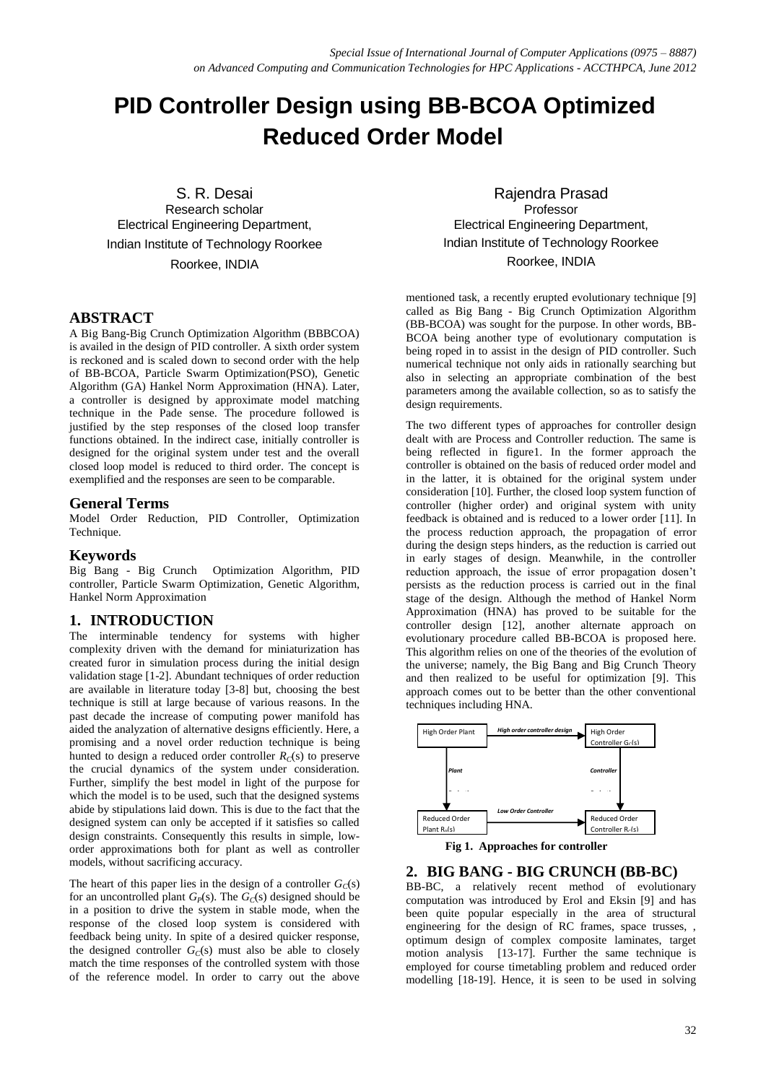# **PID Controller Design using BB-BCOA Optimized Reduced Order Model**

S. R. Desai Research scholar Electrical Engineering Department, Indian Institute of Technology Roorkee Roorkee, INDIA

#### **ABSTRACT**

A Big Bang-Big Crunch Optimization Algorithm (BBBCOA) is availed in the design of PID controller. A sixth order system is reckoned and is scaled down to second order with the help of BB-BCOA, Particle Swarm Optimization(PSO), Genetic Algorithm (GA) Hankel Norm Approximation (HNA). Later, a controller is designed by approximate model matching technique in the Pade sense. The procedure followed is justified by the step responses of the closed loop transfer functions obtained. In the indirect case, initially controller is designed for the original system under test and the overall closed loop model is reduced to third order. The concept is exemplified and the responses are seen to be comparable.

#### **General Terms**

Model Order Reduction, PID Controller, Optimization Technique.

# **Keywords**

Big Bang - Big Crunch Optimization Algorithm, PID controller, Particle Swarm Optimization, Genetic Algorithm, Hankel Norm Approximation

# **1. INTRODUCTION**

The interminable tendency for systems with higher complexity driven with the demand for miniaturization has created furor in simulation process during the initial design validation stage [1-2]. Abundant techniques of order reduction are available in literature today [3-8] but, choosing the best technique is still at large because of various reasons. In the past decade the increase of computing power manifold has aided the analyzation of alternative designs efficiently. Here, a promising and a novel order reduction technique is being hunted to design a reduced order controller  $R_C(s)$  to preserve the crucial dynamics of the system under consideration. Further, simplify the best model in light of the purpose for which the model is to be used, such that the designed systems abide by stipulations laid down. This is due to the fact that the designed system can only be accepted if it satisfies so called design constraints. Consequently this results in simple, loworder approximations both for plant as well as controller models, without sacrificing accuracy.

The heart of this paper lies in the design of a controller  $G_C(s)$ for an uncontrolled plant  $G_P(s)$ . The  $G_C(s)$  designed should be in a position to drive the system in stable mode, when the response of the closed loop system is considered with feedback being unity. In spite of a desired quicker response, the designed controller  $G_C(s)$  must also be able to closely match the time responses of the controlled system with those of the reference model. In order to carry out the above

Rajendra Prasad Professor Electrical Engineering Department, Indian Institute of Technology Roorkee Roorkee, INDIA

mentioned task, a recently erupted evolutionary technique [9] called as Big Bang - Big Crunch Optimization Algorithm (BB-BCOA) was sought for the purpose. In other words, BB-BCOA being another type of evolutionary computation is being roped in to assist in the design of PID controller. Such numerical technique not only aids in rationally searching but also in selecting an appropriate combination of the best parameters among the available collection, so as to satisfy the design requirements.

The two different types of approaches for controller design dealt with are Process and Controller reduction. The same is being reflected in figure1. In the former approach the controller is obtained on the basis of reduced order model and in the latter, it is obtained for the original system under consideration [10]. Further, the closed loop system function of controller (higher order) and original system with unity feedback is obtained and is reduced to a lower order [11]. In the process reduction approach, the propagation of error during the design steps hinders, as the reduction is carried out in early stages of design. Meanwhile, in the controller reduction approach, the issue of error propagation dosen"t persists as the reduction process is carried out in the final stage of the design. Although the method of Hankel Norm Approximation (HNA) has proved to be suitable for the controller design [12], another alternate approach on evolutionary procedure called BB-BCOA is proposed here. This algorithm relies on one of the theories of the evolution of the universe; namely, the Big Bang and Big Crunch Theory and then realized to be useful for optimization [9]. This approach comes out to be better than the other conventional techniques including HNA.



**Fig 1. Approaches for controller** 

#### **2. BIG BANG - BIG CRUNCH (BB-BC)**  $\alpha$ **p**<sup>1</sup>

BB-BC, a relatively recent method of evolutionary computation was introduced by Erol and Eksin [9] and has been quite popular especially in the area of structural engineering for the design of RC frames, space trusses, , optimum design of complex composite laminates, target motion analysis [13-17]. Further the same technique is employed for course timetabling problem and reduced order modelling [18-19]. Hence, it is seen to be used in solving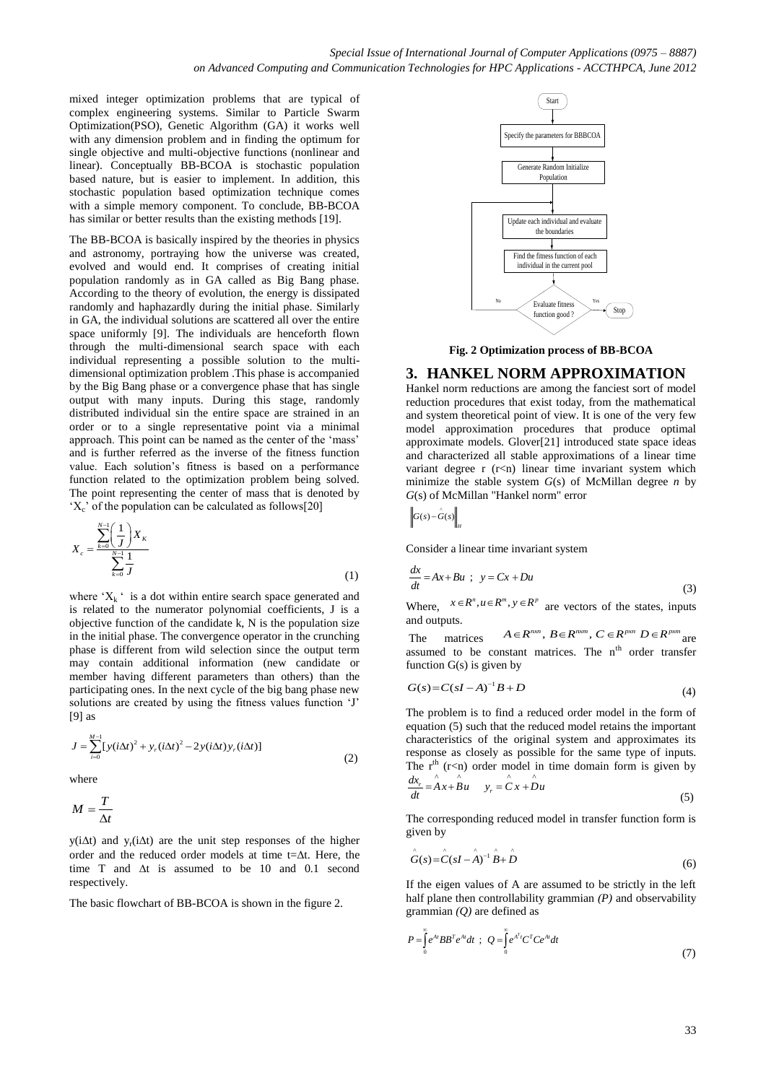mixed integer optimization problems that are typical of complex engineering systems. Similar to Particle Swarm Optimization(PSO), Genetic Algorithm (GA) it works well with any dimension problem and in finding the optimum for single objective and multi-objective functions (nonlinear and linear). Conceptually BB-BCOA is stochastic population based nature, but is easier to implement. In addition, this stochastic population based optimization technique comes with a simple memory component. To conclude, BB-BCOA has similar or better results than the existing methods [19].

The BB-BCOA is basically inspired by the theories in physics and astronomy, portraying how the universe was created, evolved and would end. It comprises of creating initial population randomly as in GA called as Big Bang phase. According to the theory of evolution, the energy is dissipated randomly and haphazardly during the initial phase. Similarly in GA, the individual solutions are scattered all over the entire space uniformly [9]. The individuals are henceforth flown through the multi-dimensional search space with each individual representing a possible solution to the multidimensional optimization problem .This phase is accompanied by the Big Bang phase or a convergence phase that has single output with many inputs. During this stage, randomly distributed individual sin the entire space are strained in an order or to a single representative point via a minimal approach. This point can be named as the center of the 'mass' and is further referred as the inverse of the fitness function value. Each solution"s fitness is based on a performance function related to the optimization problem being solved. The point representing the center of mass that is denoted by  $X_c$ ' of the population can be calculated as follows[20]

$$
X_c = \frac{\sum_{k=0}^{N-1} \left(\frac{1}{J}\right) X_k}{\sum_{k=0}^{N-1} \frac{1}{J}}
$$
 (1)

where  $X_k$  ' is a dot within entire search space generated and is related to the numerator polynomial coefficients, J is a objective function of the candidate k, N is the population size in the initial phase. The convergence operator in the crunching phase is different from wild selection since the output term may contain additional information (new candidate or member having different parameters than others) than the participating ones. In the next cycle of the big bang phase new solutions are created by using the fitness values function 'J' [9] as

$$
J = \sum_{i=0}^{M-1} [y(i\Delta t)^2 + y_r(i\Delta t)^2 - 2y(i\Delta t)y_r(i\Delta t)]
$$
 (2)

where

$$
M=\frac{T}{\Delta t}
$$

 $y(i\Delta t)$  and  $y_r(i\Delta t)$  are the unit step responses of the higher order and the reduced order models at time  $t = \Delta t$ . Here, the time T and  $\Delta t$  is assumed to be 10 and 0.1 second respectively.

The basic flowchart of BB-BCOA is shown in the figure 2.



**Fig. 2 Optimization process of BB-BCOA**

#### **3. HANKEL NORM APPROXIMATION**

Hankel norm reductions are among the fanciest sort of model reduction procedures that exist today, from the mathematical and system theoretical point of view. It is one of the very few model approximation procedures that produce optimal approximate models. Glover[21] introduced state space ideas and characterized all stable approximations of a linear time variant degree  $r$  ( $r$ <n) linear time invariant system which minimize the stable system *G*(s) of McMillan degree *n* by *G*(s) of McMillan "Hankel norm" error

$$
\left\|G(s) - \hat{G}(s)\right\|_{H}
$$

Consider a linear time invariant system

$$
\frac{dx}{dt} = Ax + Bu \text{ ; } y = Cx + Du \tag{3}
$$

Where,  $x \in R^n, u \in R^m, y \in R^p$  are vectors of the states, inputs and outputs.

The matrices  $A \in R^{n x n}$ ,  $B \in R^{n x m}$ ,  $C \in R^{p x n}$   $D \in R^{p x m}$  are assumed to be constant matrices. The n<sup>th</sup> order transfer function  $G(s)$  is given by

$$
G(s) = C\left(sI - A\right)^{-1}B + D\tag{4}
$$

The problem is to find a reduced order model in the form of equation (5) such that the reduced model retains the important characteristics of the original system and approximates its response as closely as possible for the same type of inputs. The r<sup>th</sup> (r<n) order model in time domain form is given by  $\frac{dx}{dt} = \hat{A}x + \hat{B}u$   $y_r = \hat{C}x + \hat{D}u$  (5)

The corresponding reduced model in transfer function form is given by

$$
\hat{G}(s) = \hat{C}(sI - A)^{-1} \hat{B} + \hat{D}
$$
 (6)

If the eigen values of A are assumed to be strictly in the left half plane then controllability grammian *(P)* and observability grammian *(Q)* are defined as

$$
P = \int_{0}^{\infty} e^{At} BB^{T} e^{At} dt ; Q = \int_{0}^{\infty} e^{A^{T}t} C^{T} C e^{At} dt
$$
 (7)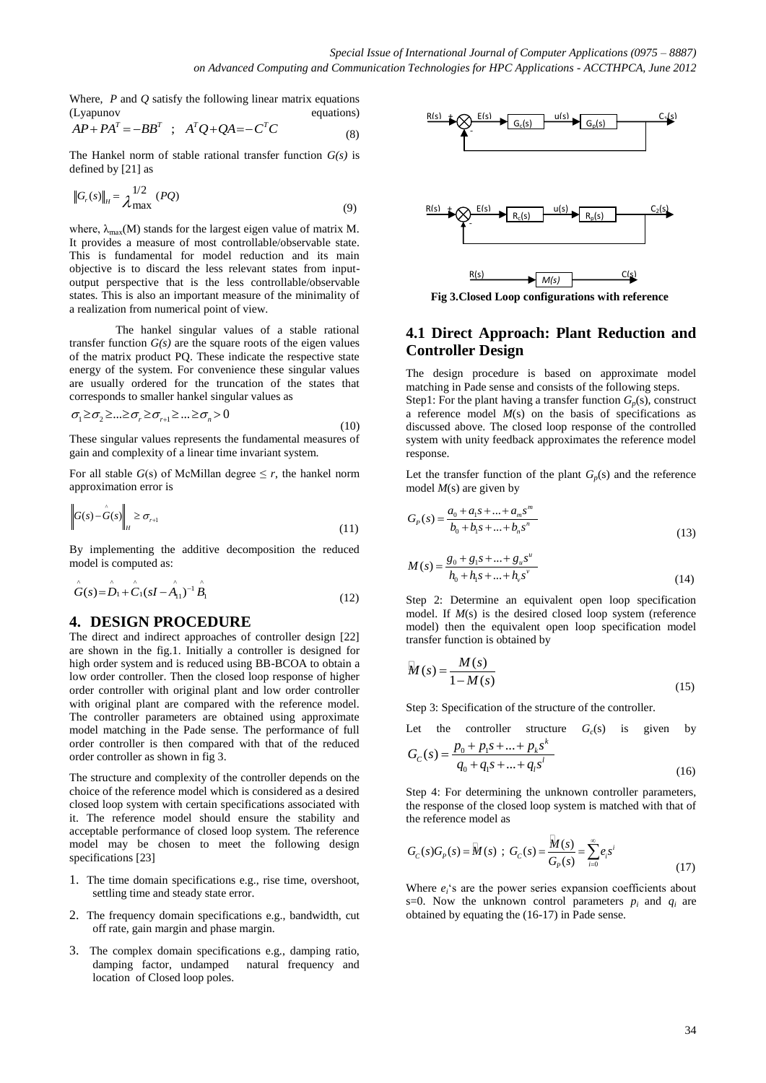Where, *P* and *Q* satisfy the following linear matrix equations (Lyapunov equations)

(Lyapunov  
\n
$$
AP + PA^{T} = -BB^{T}
$$
;  $A^{T}Q + QA = -C^{T}C$  (8)

The Hankel norm of stable rational transfer function *G(s)* is defined by [21] as

$$
\|G_r(s)\|_{H} = \lambda \max_{\text{max}}^{1/2} (PQ)
$$
 (9)

where,  $\lambda_{\text{max}}(M)$  stands for the largest eigen value of matrix M. It provides a measure of most controllable/observable state. This is fundamental for model reduction and its main objective is to discard the less relevant states from inputoutput perspective that is the less controllable/observable states. This is also an important measure of the minimality of a realization from numerical point of view.

The hankel singular values of a stable rational transfer function  $G(s)$  are the square roots of the eigen values of the matrix product PQ. These indicate the respective state energy of the system. For convenience these singular values are usually ordered for the truncation of the states that corresponds to smaller hankel singular values as<br>  $\sigma_1 \geq \sigma_2 \geq ... \geq \sigma_r \geq \sigma_{r+1} \geq ... \geq \sigma_n > 0$ 

$$
\sigma_1 \ge \sigma_2 \ge \dots \ge \sigma_r \ge \sigma_{r+1} \ge \dots \ge \sigma_n > 0 \tag{10}
$$

These singular values represents the fundamental measures of gain and complexity of a linear time invariant system.

For all stable  $G(s)$  of McMillan degree  $\leq r$ , the hankel norm approximation error is

$$
\left\|G(s) - \hat{G}(s)\right\|_{H} \ge \sigma_{r+1} \tag{11}
$$

By implementing the additive decomposition the reduced model is computed as:

$$
\hat{G}(s) = \hat{D}_1 + \hat{C}_1 (sI - \hat{A}_{11})^{-1} \hat{B}_1
$$
\n(12)

### **4. DESIGN PROCEDURE**

The direct and indirect approaches of controller design [22] are shown in the fig.1. Initially a controller is designed for high order system and is reduced using BB-BCOA to obtain a low order controller. Then the closed loop response of higher order controller with original plant and low order controller with original plant are compared with the reference model. The controller parameters are obtained using approximate model matching in the Pade sense. The performance of full order controller is then compared with that of the reduced order controller as shown in fig 3.

The structure and complexity of the controller depends on the choice of the reference model which is considered as a desired closed loop system with certain specifications associated with it. The reference model should ensure the stability and acceptable performance of closed loop system. The reference model may be chosen to meet the following design specifications [23]

- 1. The time domain specifications e.g., rise time, overshoot, settling time and steady state error.
- 2. The frequency domain specifications e.g., bandwidth, cut off rate, gain margin and phase margin.
- 3. The complex domain specifications e.g., damping ratio, damping factor, undamped natural frequency and location of Closed loop poles.





**Fig 3.Closed Loop configurations with reference**

# **4.1 Direct Approach: Plant Reduction and Controller Design**

The design procedure is based on approximate model matching in Pade sense and consists of the following steps.

Step1: For the plant having a transfer function  $G_p(s)$ , construct a reference model  $M(s)$  on the basis of specifications as discussed above. The closed loop response of the controlled system with unity feedback approximates the reference model response.

Let the transfer function of the plant  $G_p(s)$  and the reference model *M*(s) are given by

$$
G_p(s) = \frac{a_0 + a_1 s + \dots + a_m s^m}{b_0 + b_1 s + \dots + b_n s^n}
$$
\n(13)

$$
M(s) = \frac{g_0 + g_1 s + \dots + g_u s^u}{h_0 + h_1 s + \dots + h_v s^v}
$$
\n(14)

Step 2: Determine an equivalent open loop specification model. If *M*(s) is the desired closed loop system (reference model) then the equivalent open loop specification model transfer function is obtained by

$$
\overline{M}(s) = \frac{M(s)}{1 - M(s)}\tag{15}
$$

Step 3: Specification of the structure of the controller.

Let the controller structure  $G_c$ <br> $G_c$   $(g) = \frac{p_0 + p_1 s + ... + p_k s^k}{g}$  $G<sub>c</sub>(s)$  is given by

$$
G_C(s) = \frac{p_0 + p_1 s + ... + p_k s^k}{q_0 + q_1 s + ... + q_l s^l}
$$
\n(16)

Step 4: For determining the unknown controller parameters, the response of the closed loop system is matched with that of the reference model as

the reference model as  

$$
G_C(s)G_p(s) = \mathcal{M}(s) \; ; \; G_C(s) = \frac{\mathcal{M}(s)}{G_p(s)} = \sum_{i=0}^{\infty} e_i s^i
$$
(17)

Where  $e_i$ 's are the power series expansion coefficients about s=0. Now the unknown control parameters  $p_i$  and  $q_i$  are obtained by equating the (16-17) in Pade sense.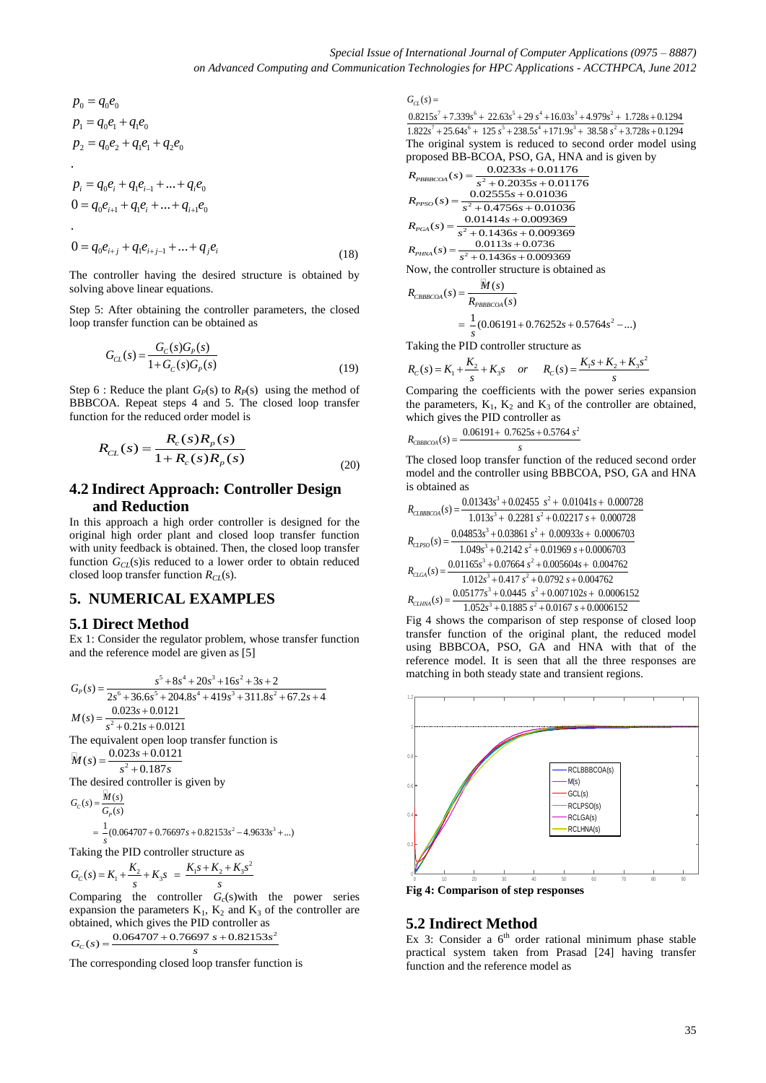$$
p_0 = q_0 e_0
$$
  
\n
$$
p_1 = q_0 e_1 + q_1 e_0
$$
  
\n
$$
p_2 = q_0 e_2 + q_1 e_1 + q_2 e_0
$$
  
\n
$$
p_i = q_0 e_i + q_1 e_{i-1} + \dots + q_i e_0
$$
  
\n
$$
0 = q_0 e_{i+1} + q_1 e_i + \dots + q_{i+1} e_0
$$

$$
0 = q_0 e_{i+1} + q_1 e_i + \dots + q_{i+1} e_0
$$
  
.  

$$
0 = q_0 e_{i+j} + q_1 e_{i+j-1} + \dots + q_j e_i
$$
 (18)

The controller having the desired structure is obtained by solving above linear equations.

Step 5: After obtaining the controller parameters, the closed loop transfer function can be obtained as

$$
G_{CL}(s) = \frac{G_C(s)G_P(s)}{1 + G_C(s)G_P(s)}
$$
(19)

Step 6 : Reduce the plant  $G_P(s)$  to  $R_P(s)$  using the method of BBBCOA. Repeat steps 4 and 5. The closed loop transfer function for the reduced order model is

$$
R_{CL}(s) = \frac{R_c(s)R_p(s)}{1 + R_c(s)R_p(s)}
$$
\n(20)

# **4.2 Indirect Approach: Controller Design and Reduction**

In this approach a high order controller is designed for the original high order plant and closed loop transfer function with unity feedback is obtained. Then, the closed loop transfer function  $G_{CL}(s)$  is reduced to a lower order to obtain reduced closed loop transfer function  $R_C$ <sub>CL</sub>(s).

### **5. NUMERICAL EXAMPLES**

#### **5.1 Direct Method**

Ex 1: Consider the regulator problem, whose transfer function

and the reference model are given as [5]  
\n
$$
G_p(s) = \frac{s^5 + 8s^4 + 20s^3 + 16s^2 + 3s + 2}{2s^6 + 36.6s^5 + 204.8s^4 + 419s^3 + 311.8s^2 + 67.2s + 4}
$$
\n
$$
M(s) = \frac{0.023s + 0.0121}{s^2 + 0.21s + 0.0121}
$$
\nThe equivalent open loop transfer function is  
\n
$$
\mathbf{\hat{M}}(s) = \frac{0.023s + 0.0121}{s^2 + 0.187s}
$$
\nThe desired controller is given by  
\n
$$
G_c(s) = \frac{\mathbf{\hat{M}}(s)}{\mathbf{\hat{G}}_p(s)}
$$
\n
$$
= \frac{1}{s}(0.064707 + 0.76697s + 0.82153s^2 - 4.9633s^3 + ...)
$$
\nTaking the PID controller structure as  
\n
$$
G_c(s) = K_1 + \frac{K_2}{s} + K_3s = \frac{K_1s + K_2 + K_3s^2}{s}
$$

Taking the T.D. controller structure as  
\n
$$
G_C(s) = K_1 + \frac{K_2}{s} + K_3 s = \frac{K_1 s + K_2 + K_3 s^2}{s}
$$
\nComparing the controller  $G_C(s)$  with the power series

expansion the parameters  $K_1$ ,  $K_2$  and  $K_3$  of the controller are

explanation, the parameters 
$$
K_1
$$
,  $K_2$  and  $K_3$  of obtained, which gives the PID controller as  

$$
G_C(s) = \frac{0.064707 + 0.76697 s + 0.82153s^2}{s}
$$

The corresponding closed loop transfer function is

 $Techno$ <br> $G_{CL}(s) =$ 

 $7^7 + 7.339s^6 + 22.63s^5 + 29s^4 + 16.03s^3 + 4.979s^2$  $G_{CL}(s) =$ <br> $0.8215s^{7} + 7.339s^{6} + 22.63s^{5} + 29s^{4} + 16.03s^{3} + 4.979s^{2} + 1.728s + 0.1294$ <br> $1.822s^{7} + 25.64s^{6} + 125s^{5} + 238.5s^{4} + 171.9s^{3} + 38.58s^{2} + 3.728s + 0.1294$  $\frac{1.822s^7 + 25.64s^6 + 125s^5 + 238.5s^4 + 171.9s^3 + 38.58s^2 + 3.728s + 0.1294}{25.64s^6 + 125s^5 + 238.5s^4 + 171.9s^3 + 38.58s^2 + 3.728s + 0.1294}$  $+\frac{7}{125.64s^6+22.63s^5+29s^4+16.03s^3+4.979s^2+1.728s+0.1294}+25.64s^6+125s^5+238.5s^4+171.9s^3+38.58s^2+3.728s+0.1294$  $s^2$ <br>  $s^2$  + 7.339 $s^6$  + 22.63 $s^5$  + 29  $s^4$  + 16.03 $s^3$  + 4.979 $s^2$  + 1.728 $s$ <br>  $s^2$  - 25 6  $s^6$  + 25  $s^5$  - 299 5  $s^4$  + 151.9  $s^3$  - 29 59  $s^2$  - 2.729  $s(s) =$ <br>  $15s^7 + 7.339s^6 + 22.63s^5 + 29s^4 + 16.03s^3 + 4.979s^2 + 1.728s$ <br>  $s^7 + 25.64s^6 + 125s^5 + 238.5s^4 + 171.9s^3 + 38.58s^2 + 3.728s$ <br>  $s^2 + 3.728s$ <br>  $s^2 + 3.728s$ The original system is reduced to second order model using proposed BB-BCOA, PSO, GA, HNA and is given by<br>  $R_{PBBBCOA}(s) = \frac{0.0233s + 0.01176}{s^2 + 0.2035s + 0.01176}$ 

$$
R_{PBBEC/A}(s) = \frac{0.0233s + 0.01176}{s^2 + 0.2035s + 0.01176}
$$
  
\n
$$
R_{PPSO}(s) = \frac{0.0235s + 0.01176}{s^2 + 0.4756s + 0.01036}
$$
  
\n
$$
R_{PGA}(s) = \frac{0.01414s + 0.009369}{s^2 + 0.1436s + 0.009369}
$$
  
\n
$$
R_{PHNA}(s) = \frac{0.0113s + 0.0736}{s^2 + 0.1436s + 0.009369}
$$
  
\nNow, the controller structure is obtained as

Now, the controller structure is obtained as  
\n
$$
R_{CBBBCOA}(s) = \frac{\mathcal{M}(s)}{R_{PBBBCOA}(s)}
$$
\n
$$
= \frac{1}{s} (0.06191 + 0.76252s + 0.5764s^2 - ...)
$$

Taking the PID controller structure as  
\n
$$
R_C(s) = K_1 + \frac{K_2}{s} + K_3 s \quad or \quad R_C(s) = \frac{K_1 s + K_2 + K_3 s^2}{s}
$$
\nComparing the coefficients with the power series expansion

the parameters,  $K_1$ ,  $K_2$  and  $K_3$  of the controller are obtained,

which gives the PID controller as  

$$
R_{CBBBCOA}(s) = \frac{0.06191 + 0.7625s + 0.5764 s^2}{s}
$$

The closed loop transfer function of the reduced second order model and the controller using BBBCOA, PSO, GA and HNA<br>is obtained as<br> $R_{CLBBBCOA}(s) = \frac{0.01343s^3 + 0.02455 \ s^2 + 0.01041s + 0.000728}{1.013s^3 + 0.2281 \ s^2 + 0.02217 \ s + 0.000728}$ is obtained as  $x^3 + 0.02455 s^2$ 

$$
R_{CLBBBCOA}(s) = \frac{0.01343s^3 + 0.02455 \ s^2 + 0.01041s + 0.000728}{1.013s^3 + 0.2281 \ s^2 + 0.02217 \ s + 0.000728}
$$
\n
$$
R_{CLPSO}(s) = \frac{0.04853s^3 + 0.03861 \ s^2 + 0.00933s + 0.0006703}{1.049s^3 + 0.2142 \ s^2 + 0.01969 \ s + 0.0006703}
$$
\n
$$
R_{CLGA}(s) = \frac{0.01165s^3 + 0.07664 \ s^2 + 0.005604s + 0.004762}{1.012s^3 + 0.417 \ s^2 + 0.0792 \ s + 0.004762}
$$
\n
$$
R_{CLHMA}(s) = \frac{0.05177s^3 + 0.0445 \ s^2 + 0.007102s + 0.0006152}{1.052s^3 + 0.1885 \ s^2 + 0.0167 \ s + 0.0006152}
$$

Fig 4 shows the comparison of step response of closed loop transfer function of the original plant, the reduced model using BBBCOA, PSO, GA and HNA with that of the reference model. It is seen that all the three responses are matching in both steady state and transient regions.



**Fig 4: Comparison of step responses** 

#### **5.2 Indirect Method**

Ex 3: Consider a  $6<sup>th</sup>$  order rational minimum phase stable practical system taken from Prasad [24] having transfer function and the reference model as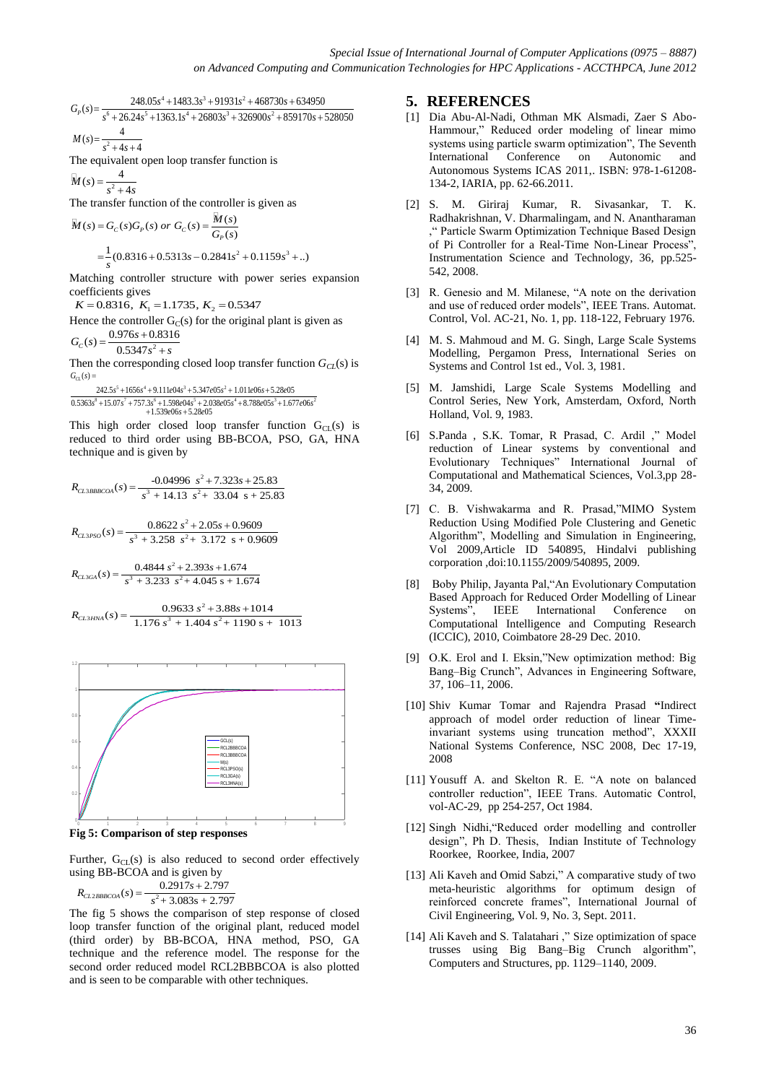on Advanced Computing and C<br>  $x^4 + 1483.3s^3 + 91931s^2 + 468730s + 634950$ 

on Advanced Computing and Comi<br>  $s(s) = \frac{248.05s^4 + 1483.3s^3 + 91931s^2 + 468730s + 634950}{s^6 + 26.24s^5 + 1363.1s^4 + 26803s^3 + 326900s^2 + 859170s + 528050}$  $248.05s<sup>4</sup> + 1483.3s<sup>3</sup> + 91931s<sup>2</sup> + 468730s + 634950$ <br>+ 26.24s<sup>5</sup> + 1363.1s<sup>4</sup> + 26803s<sup>3</sup> + 326900s<sup>2</sup> + 859170s + 528050 *P*<br> *P*<sub>(s)</sub> =  $\frac{248.05s^4 + 1483.3s^3 + 91931s^2 + 468730s + 6349s^4}{s^6 + 26.24s^5 + 1363.1s^4 + 26803s^3 + 326900s^2 + 859170s}$ <br> *M*(s) =  $\frac{4}{s^2 + 4s + 4}$ <br>
The projection has the transfer function in

 $=\frac{1}{a^2}$ 4  $(s) = \frac{24}{s^6 + 26.24s}$ <br>  $(s) = \frac{4}{s^2 + 4s + 4}$  $G_p(s)$ <br>*M* (*s*)  $s^6 + 26$ .<br> $\frac{4}{s^2 + 4s}$ 

The equivalent open loop transfer function is

 $M(s) = \frac{4}{s^2 + 4s}$ 

The transfer function of the controller is given as  
\n
$$
\mathbf{\hat{M}}(s) = G_C(s)G_P(s)
$$
 or  $G_C(s) = \frac{\mathbf{\hat{M}}(s)}{G_P(s)}$   
\n $= \frac{1}{s}(0.8316 + 0.5313s - 0.2841s^2 + 0.1159s^3 + ..)$ 

Matching controller structure with power series expansion coefficients gives

 $K = 0.8316$ ,  $K_1 = 1.1735$ ,  $K_2 = 0.5347$ 

Hence the controller  $G<sub>c</sub>(s)$  for the original plant is given as  $G_C(s) = \frac{0.976s + 0.8316}{0.5347s^2 + s}$ 

$$
\frac{G_C(s)}{G} = \frac{0.5347s^2 + s}{0.5347s^2 + s}
$$

Then the corresponding closed loop transfer function *G<sub>CL</sub>*(s) is<br>  $G_{\alpha}(s) =$ <br>  $\frac{242.5s^5 + 1656s^4 + 9.111e04s^3 + 5.347e05s^2 + 1.011e06s + 5.28e05}{2526.8 + 15.021e06s + 1.020e05s^2 + 1.020e05s^3 + 1.072e0s^2}$ <sup>5</sup> + 1656s<sup>4</sup> + 9.11 le04s<sup>3</sup> + 5.347e05s<sup>2</sup>  $G_C(s) = G_{CL}(s) =$ 

$$
G_{CL}(s) = \n 242.5s5 + 1656s4 + 9.111e04s3 + 5.347e05s2 + 1.011e06s + 5.28e05\n 0.5363s8 + 15.07s7 + 757.3s6 + 1.598e04s5 + 2.038e05s4 + 8.788e05s3 + 1.677e06s2\n+ 1.539e06s + 5.28e05
$$

This high order closed loop transfer function  $G_{\text{CL}}(s)$  is reduced to third order using BB-BCOA, PSO, GA, HNA technique and is given by

$$
R_{CL3BBBCOA}(s) = \frac{-0.04996 \ s^2 + 7.323s + 25.83}{s^3 + 14.13 \ s^2 + 33.04 \ s + 25.83}
$$

 $R_{CL3PSO}(s) = \frac{0.8622 s^2 + 2.05s + 0.9609}{s^3 + 3.258 s^2 + 3.172 s + 0.9609}$  $=\frac{0.8622 s^2 + 2.05s + 0.9609}{s^2 + 2.05s + 0.9609}$ 

 $R_{CL3GA}(s) = \frac{0.4844 s^2 + 2.393s + 1.674}{s^3 + 3.233 s^2 + 4.045 s + 1.674}$  $=\frac{0.4844 s^2 + 2.393 s + 1.674}{2 \cdot 0.2228 s + 1.674}$ 

$$
s^{3} + 3.233 \t s^{2} + 4.045 \t s + 1.674
$$

$$
R_{CL3HNA}(s) = \frac{0.9633 \t s^{2} + 3.88s + 1014}{1.176 \t s^{3} + 1.404 \t s^{2} + 1190 \t s + 1013}
$$



**Fig 5: Comparison of step responses** 

Further,  $G_{CL}(s)$  is also reduced to second order effectively

using BB-BCOA and is given by  

$$
R_{CL2BBBCOA}(s) = \frac{0.2917s + 2.797}{s^2 + 3.083s + 2.797}
$$

The fig 5 shows the comparison of step response of closed loop transfer function of the original plant, reduced model (third order) by BB-BCOA, HNA method, PSO, GA technique and the reference model. The response for the second order reduced model RCL2BBBCOA is also plotted and is seen to be comparable with other techniques.

#### **5. REFERENCES**

- [1] Dia Abu-Al-Nadi, Othman MK Alsmadi, Zaer S Abo-Hammour," Reduced order modeling of linear mimo systems using particle swarm optimization", The Seventh International Conference on Autonomic and Autonomous Systems ICAS 2011,. ISBN: 978-1-61208- 134-2, IARIA, pp. 62-66.2011.
- [2] S. M. Giriraj Kumar, R. Sivasankar, T. K. Radhakrishnan, V. Dharmalingam, and N. Anantharaman ," Particle Swarm Optimization Technique Based Design of Pi Controller for a Real-Time Non-Linear Process", Instrumentation Science and Technology, 36, pp.525- 542, 2008.
- [3] R. Genesio and M. Milanese, "A note on the derivation and use of reduced order models", IEEE Trans. Automat. Control, Vol. AC-21, No. 1, pp. 118-122, February 1976.
- [4] M. S. Mahmoud and M. G. Singh, Large Scale Systems Modelling, Pergamon Press, International Series on Systems and Control 1st ed., Vol. 3, 1981.
- [5] M. Jamshidi, Large Scale Systems Modelling and Control Series, New York, Amsterdam, Oxford, North Holland, Vol. 9, 1983.
- [6] S.Panda , S.K. Tomar, R Prasad, C. Ardil ," Model reduction of Linear systems by conventional and Evolutionary Techniques" International Journal of Computational and Mathematical Sciences, Vol.3,pp 28- 34, 2009.
- [7] C. B. Vishwakarma and R. Prasad,"MIMO System Reduction Using Modified Pole Clustering and Genetic Algorithm", Modelling and Simulation in Engineering, Vol 2009,Article ID 540895, Hindalvi publishing corporation ,doi:10.1155/2009/540895, 2009.
- [8] Boby Philip, Jayanta Pal,"An Evolutionary Computation Based Approach for Reduced Order Modelling of Linear Systems", IEEE International Conference on Computational Intelligence and Computing Research (ICCIC), 2010, Coimbatore 28-29 Dec. 2010.
- [9] O.K. Erol and I. Eksin,"New optimization method: Big Bang–Big Crunch", Advances in Engineering Software, 37, 106–11, 2006.
- [10] Shiv Kumar Tomar and Rajendra Prasad **"**Indirect approach of model order reduction of linear Timeinvariant systems using truncation method", XXXII National Systems Conference, NSC 2008, Dec 17-19, 2008
- [11] Yousuff A. and Skelton R. E. "A note on balanced controller reduction", IEEE Trans. Automatic Control, vol-AC-29, pp 254-257, Oct 1984.
- [12] Singh Nidhi, "Reduced order modelling and controller design", Ph D. Thesis, Indian Institute of Technology Roorkee, Roorkee, India, 2007
- [13] Ali Kaveh and Omid Sabzi," A comparative study of two meta-heuristic algorithms for optimum design of reinforced concrete frames", International Journal of Civil Engineering, Vol. 9, No. 3, Sept. 2011.
- [14] Ali Kaveh and S. Talatahari ," Size optimization of space trusses using Big Bang–Big Crunch algorithm", Computers and Structures, pp. 1129–1140, 2009.